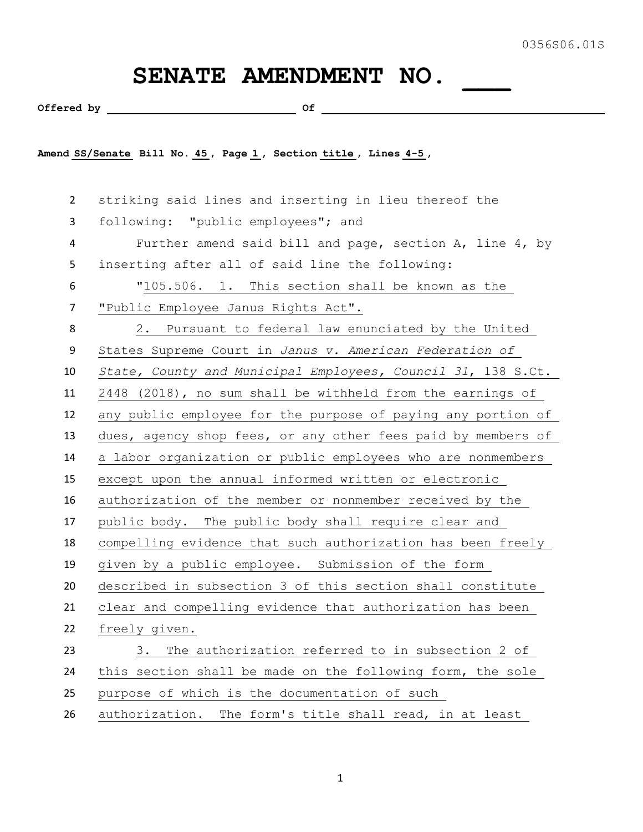## SENATE AMENDMENT NO.

Offered by  $\qquad \qquad \qquad$  Of

**Amend SS/Senate Bill No. 45 , Page 1 , Section title , Lines 4-5 ,** 

 striking said lines and inserting in lieu thereof the following: "public employees"; and Further amend said bill and page, section A, line 4, by inserting after all of said line the following: "105.506. 1. This section shall be known as the "Public Employee Janus Rights Act". 2. Pursuant to federal law enunciated by the United States Supreme Court in *Janus v. American Federation of State, County and Municipal Employees, Council 31*, 138 S.Ct. 2448 (2018), no sum shall be withheld from the earnings of any public employee for the purpose of paying any portion of dues, agency shop fees, or any other fees paid by members of a labor organization or public employees who are nonmembers except upon the annual informed written or electronic authorization of the member or nonmember received by the public body. The public body shall require clear and compelling evidence that such authorization has been freely given by a public employee. Submission of the form described in subsection 3 of this section shall constitute clear and compelling evidence that authorization has been freely given. 3. The authorization referred to in subsection 2 of this section shall be made on the following form, the sole purpose of which is the documentation of such authorization. The form's title shall read, in at least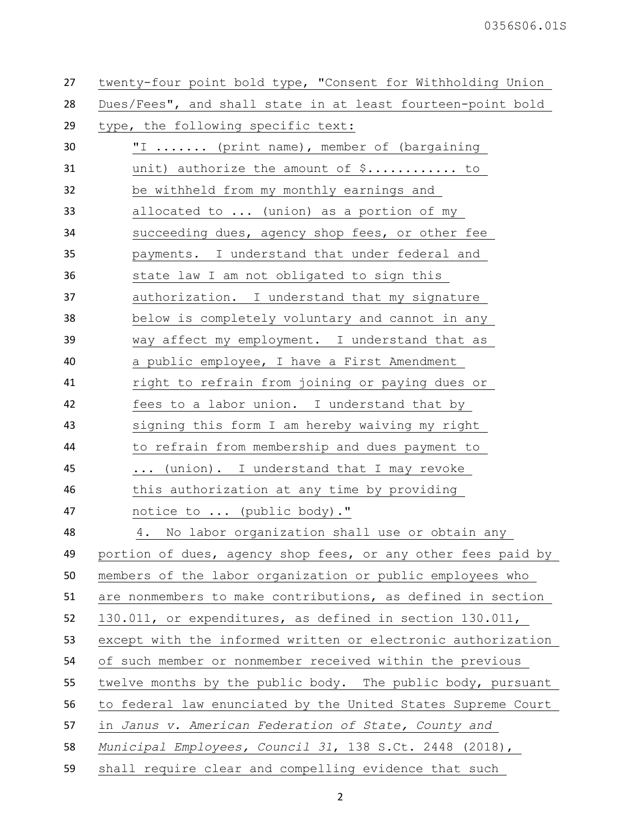| 27 | twenty-four point bold type, "Consent for Withholding Union  |
|----|--------------------------------------------------------------|
| 28 | Dues/Fees", and shall state in at least fourteen-point bold  |
| 29 | type, the following specific text:                           |
| 30 | "I  (print name), member of (bargaining                      |
| 31 | unit) authorize the amount of $\S$ to                        |
| 32 | be withheld from my monthly earnings and                     |
| 33 | allocated to  (union) as a portion of my                     |
| 34 | succeeding dues, agency shop fees, or other fee              |
| 35 | payments. I understand that under federal and                |
| 36 | state law I am not obligated to sign this                    |
| 37 | authorization. I understand that my signature                |
| 38 | below is completely voluntary and cannot in any              |
| 39 | way affect my employment. I understand that as               |
| 40 | a public employee, I have a First Amendment                  |
| 41 | right to refrain from joining or paying dues or              |
| 42 | fees to a labor union. I understand that by                  |
| 43 | signing this form I am hereby waiving my right               |
| 44 | to refrain from membership and dues payment to               |
| 45 | (union). I understand that I may revoke<br>$\cdots$          |
| 46 | this authorization at any time by providing                  |
| 47 | notice to  (public body)."                                   |
| 48 | No labor organization shall use or obtain any<br>4.          |
| 49 | portion of dues, agency shop fees, or any other fees paid by |
| 50 | members of the labor organization or public employees who    |
| 51 | are nonmembers to make contributions, as defined in section  |
| 52 | 130.011, or expenditures, as defined in section 130.011,     |
| 53 | except with the informed written or electronic authorization |
| 54 | of such member or nonmember received within the previous     |
| 55 | twelve months by the public body. The public body, pursuant  |
| 56 | to federal law enunciated by the United States Supreme Court |
| 57 | in Janus v. American Federation of State, County and         |
| 58 | Municipal Employees, Council 31, 138 S.Ct. 2448 (2018),      |
| 59 | shall require clear and compelling evidence that such        |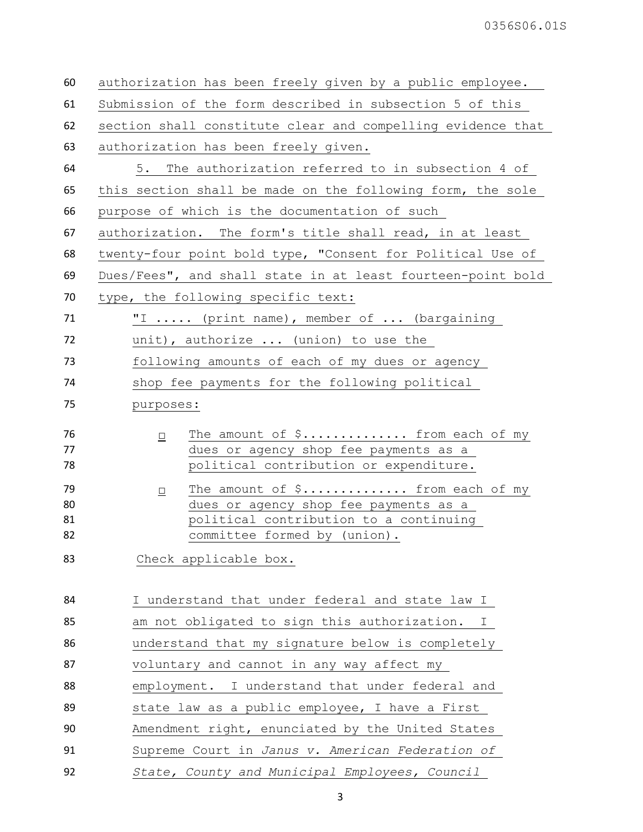| 60                   | authorization has been freely given by a public employee.                                                                                                     |
|----------------------|---------------------------------------------------------------------------------------------------------------------------------------------------------------|
| 61                   | Submission of the form described in subsection 5 of this                                                                                                      |
| 62                   | section shall constitute clear and compelling evidence that                                                                                                   |
| 63                   | authorization has been freely given.                                                                                                                          |
| 64                   | 5. The authorization referred to in subsection 4 of                                                                                                           |
| 65                   | this section shall be made on the following form, the sole                                                                                                    |
| 66                   | purpose of which is the documentation of such                                                                                                                 |
| 67                   | authorization. The form's title shall read, in at least                                                                                                       |
| 68                   | twenty-four point bold type, "Consent for Political Use of                                                                                                    |
| 69                   | Dues/Fees", and shall state in at least fourteen-point bold                                                                                                   |
| 70                   | type, the following specific text:                                                                                                                            |
| 71                   | "I  (print name), member of  (bargaining                                                                                                                      |
| 72                   | unit), authorize  (union) to use the                                                                                                                          |
| 73                   | following amounts of each of my dues or agency                                                                                                                |
| 74                   | shop fee payments for the following political                                                                                                                 |
| 75                   | purposes:                                                                                                                                                     |
| 76<br>77<br>78       | The amount of $\frac{2}{3}$ from each of my<br>$\Box$<br>dues or agency shop fee payments as a<br>political contribution or expenditure.                      |
| 79<br>80<br>81<br>82 | The amount of \$ from each of my<br>$\Box$<br>dues or agency shop fee payments as a<br>political contribution to a continuing<br>committee formed by (union). |
| 83                   | Check applicable box.                                                                                                                                         |
| 84                   | I understand that under federal and state law I                                                                                                               |
| 85                   | am not obligated to sign this authorization.<br>I.                                                                                                            |
| 86                   | understand that my signature below is completely                                                                                                              |
| 87                   | voluntary and cannot in any way affect my                                                                                                                     |
| 88                   | employment. I understand that under federal and                                                                                                               |
| 89                   | state law as a public employee, I have a First                                                                                                                |
| 90                   | Amendment right, enunciated by the United States                                                                                                              |
| 91                   | Supreme Court in Janus v. American Federation of                                                                                                              |
| 92                   | State, County and Municipal Employees, Council                                                                                                                |